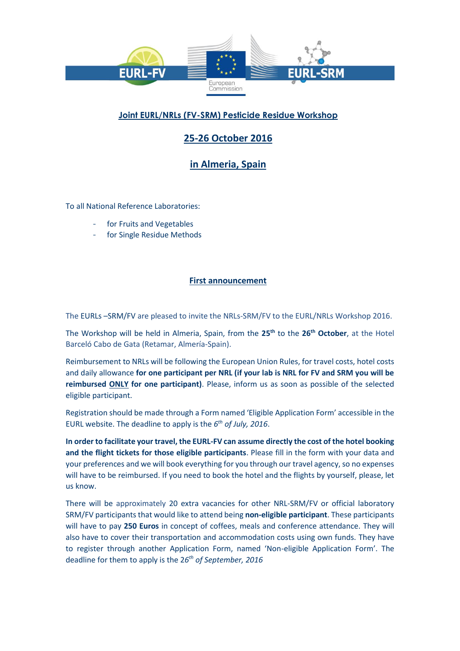

## **Joint EURL/NRLs (FV-SRM) Pesticide Residue Workshop**

# **25-26 October 2016**

**in Almeria, Spain**

To all National Reference Laboratories:

- for Fruits and Vegetables
- for Single Residue Methods

#### **First announcement**

The EURLs –SRM/FV are pleased to invite the NRLs-SRM/FV to the EURL/NRLs Workshop 2016.

The Workshop will be held in Almeria, Spain, from the **25th** to the **26th October**, at the Hotel Barceló Cabo de Gata (Retamar, Almería-Spain).

Reimbursement to NRLs will be following the European Union Rules, for travel costs, hotel costs and daily allowance **for one participant per NRL (if your lab is NRL for FV and SRM you will be reimbursed ONLY for one participant)**. Please, inform us as soon as possible of the selected eligible participant.

Registration should be made through a Form named 'Eligible Application Form' accessible in the EURL website. The deadline to apply is the *6 th of July, 2016*.

**In order to facilitate your travel, the EURL-FV can assume directly the cost of the hotel booking and the flight tickets for those eligible participants**. Please fill in the form with your data and your preferences and we will book everything for you through our travel agency, so no expenses will have to be reimbursed. If you need to book the hotel and the flights by yourself, please, let us know.

There will be approximately 20 extra vacancies for other NRL-SRM/FV or official laboratory SRM/FV participants that would like to attend being **non-eligible participant**. These participants will have to pay **250 Euros** in concept of coffees, meals and conference attendance. They will also have to cover their transportation and accommodation costs using own funds. They have to register through another Application Form, named 'Non-eligible Application Form'. The deadline for them to apply is the 2*6 th of September, 2016*